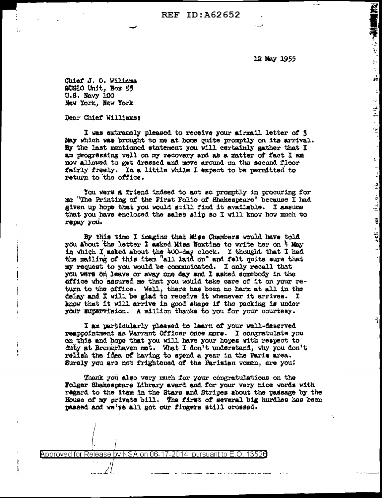**REF ID: A62652** 

12 May 1955

**PROPERTY OF STATE** 

ا<br>انجو

 $\mathbb{R}^{\mathbb{Z}}$ 

 $\sim$  10 H  $\gamma$ 

πğ

 $\mathbb{R}$ 

Ļ,

 $\begin{bmatrix} 1 \\ 2 \end{bmatrix}$ 

 $\overline{z}$ 

ाः सद्दर्भः ख्या ।।∟ित्या

Chief J. O. Wiliams SUSIO Unit. Box 55 U.S. Navy 100 New York, New York

Dear Chief Williams:

÷

I was extremely pleased to receive your airmail letter of 3 May which was brought to me at home quite promptly on its arrival. By the last mentioned statement you will certainly gather that I am progressing well on my recovery and as a matter of fact I am now allowed to get dressed and move around on the second floor fairly freely. In a little while I expect to be permitted to return to the office.

You were a friend indeed to act so promptly in procuring for me "The Printing of the First Folio of Shakespeare" because I had given up hope that you would gtill find it available. I assume that you have enclosed the sales alip so I will know how much to repay you.

By this time I imagine that Miss Chambers would have told you about the latter I asked Miss Noxtine to write her on 4 May in which I asked about the 400-day clock. I thought that I had the mailing of this item "all laid on" and felt quite sure that my request to you would be communicated. I only recall that you were on leave or away one day and I asked somebody in the office who assured me that you would take care of it on your return to the office. Well, there has been no harm at all in the delay and I will be glad to receive it whenever it arrives. I know that it will arrive in good shape if the packing is under your supervision. A million thanks to you for your courtesy.

I am particularly pleased to learn of your well-deserved reappointment as Warrant Officer once more. I congratulate you on this and hope that you will have your hopes with respect to duty at Bremerhaven met. What I don't understand, why you don't rellsh the idea of having to spend a year in the Faris area. Surely you are not frightened of the Parisian women, are you!

Thank you also very much for your congratulations on the Folger Shakespeare Library award and for your very nice words with regard to the item in the Stars and Stripes about the passage by the House of my private bill. The first of several big hurdles has been passed and we've all got our fingers still crossed.

Approved for Release by NSA on 06-17-2014 pursuant to E.O. 13526